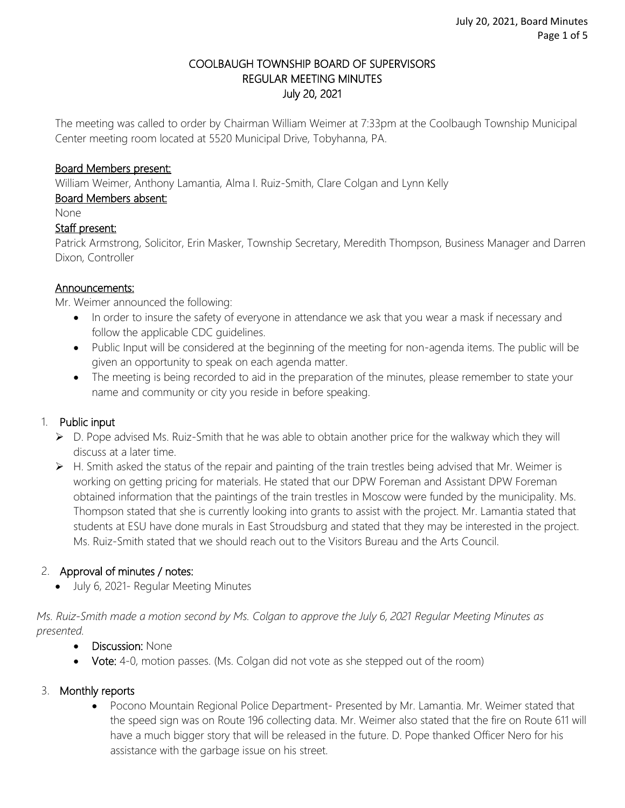### COOLBAUGH TOWNSHIP BOARD OF SUPERVISORS REGULAR MEETING MINUTES July 20, 2021

The meeting was called to order by Chairman William Weimer at 7:33pm at the Coolbaugh Township Municipal Center meeting room located at 5520 Municipal Drive, Tobyhanna, PA.

#### Board Members present:

William Weimer, Anthony Lamantia, Alma I. Ruiz-Smith, Clare Colgan and Lynn Kelly

### Board Members absent:

None

#### Staff present:

Patrick Armstrong, Solicitor, Erin Masker, Township Secretary, Meredith Thompson, Business Manager and Darren Dixon, Controller

#### Announcements:

Mr. Weimer announced the following:

- In order to insure the safety of everyone in attendance we ask that you wear a mask if necessary and follow the applicable CDC guidelines.
- Public Input will be considered at the beginning of the meeting for non-agenda items. The public will be given an opportunity to speak on each agenda matter.
- The meeting is being recorded to aid in the preparation of the minutes, please remember to state your name and community or city you reside in before speaking.

### 1. Public input

- $\triangleright$  D. Pope advised Ms. Ruiz-Smith that he was able to obtain another price for the walkway which they will discuss at a later time.
- $\triangleright$  H. Smith asked the status of the repair and painting of the train trestles being advised that Mr. Weimer is working on getting pricing for materials. He stated that our DPW Foreman and Assistant DPW Foreman obtained information that the paintings of the train trestles in Moscow were funded by the municipality. Ms. Thompson stated that she is currently looking into grants to assist with the project. Mr. Lamantia stated that students at ESU have done murals in East Stroudsburg and stated that they may be interested in the project. Ms. Ruiz-Smith stated that we should reach out to the Visitors Bureau and the Arts Council.

### 2. Approval of minutes / notes:

• July 6, 2021- Regular Meeting Minutes

*Ms. Ruiz-Smith made a motion second by Ms. Colgan to approve the July 6, 2021 Regular Meeting Minutes as presented.*

- Discussion: None
- Vote: 4-0, motion passes. (Ms. Colgan did not vote as she stepped out of the room)

### 3. Monthly reports

 Pocono Mountain Regional Police Department- Presented by Mr. Lamantia. Mr. Weimer stated that the speed sign was on Route 196 collecting data. Mr. Weimer also stated that the fire on Route 611 will have a much bigger story that will be released in the future. D. Pope thanked Officer Nero for his assistance with the garbage issue on his street.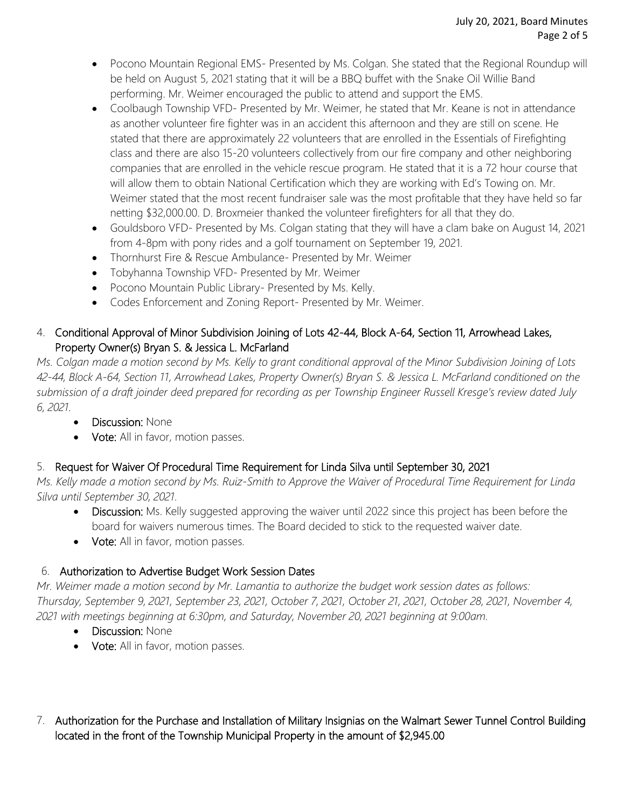- Pocono Mountain Regional EMS- Presented by Ms. Colgan. She stated that the Regional Roundup will be held on August 5, 2021 stating that it will be a BBQ buffet with the Snake Oil Willie Band performing. Mr. Weimer encouraged the public to attend and support the EMS.
- Coolbaugh Township VFD- Presented by Mr. Weimer, he stated that Mr. Keane is not in attendance as another volunteer fire fighter was in an accident this afternoon and they are still on scene. He stated that there are approximately 22 volunteers that are enrolled in the Essentials of Firefighting class and there are also 15-20 volunteers collectively from our fire company and other neighboring companies that are enrolled in the vehicle rescue program. He stated that it is a 72 hour course that will allow them to obtain National Certification which they are working with Ed's Towing on. Mr. Weimer stated that the most recent fundraiser sale was the most profitable that they have held so far netting \$32,000.00. D. Broxmeier thanked the volunteer firefighters for all that they do.
- Gouldsboro VFD- Presented by Ms. Colgan stating that they will have a clam bake on August 14, 2021 from 4-8pm with pony rides and a golf tournament on September 19, 2021.
- Thornhurst Fire & Rescue Ambulance- Presented by Mr. Weimer
- Tobyhanna Township VFD- Presented by Mr. Weimer
- Pocono Mountain Public Library- Presented by Ms. Kelly.
- Codes Enforcement and Zoning Report- Presented by Mr. Weimer.

# 4. Conditional Approval of Minor Subdivision Joining of Lots 42-44, Block A-64, Section 11, Arrowhead Lakes, Property Owner(s) Bryan S. & Jessica L. McFarland

*Ms. Colgan made a motion second by Ms. Kelly to grant conditional approval of the Minor Subdivision Joining of Lots 42-44, Block A-64, Section 11, Arrowhead Lakes, Property Owner(s) Bryan S. & Jessica L. McFarland conditioned on the submission of a draft joinder deed prepared for recording as per Township Engineer Russell Kresge's review dated July 6, 2021.*

- Discussion: None
- Vote: All in favor, motion passes.

# 5. Request for Waiver Of Procedural Time Requirement for Linda Silva until September 30, 2021

*Ms. Kelly made a motion second by Ms. Ruiz-Smith to Approve the Waiver of Procedural Time Requirement for Linda Silva until September 30, 2021.*

- Discussion: Ms. Kelly suggested approving the waiver until 2022 since this project has been before the board for waivers numerous times. The Board decided to stick to the requested waiver date.
- Vote: All in favor, motion passes.

# 6. Authorization to Advertise Budget Work Session Dates

*Mr. Weimer made a motion second by Mr. Lamantia to authorize the budget work session dates as follows: Thursday, September 9, 2021, September 23, 2021, October 7, 2021, October 21, 2021, October 28, 2021, November 4, 2021 with meetings beginning at 6:30pm, and Saturday, November 20, 2021 beginning at 9:00am.* 

- Discussion: None
- Vote: All in favor, motion passes.
- 7. Authorization for the Purchase and Installation of Military Insignias on the Walmart Sewer Tunnel Control Building located in the front of the Township Municipal Property in the amount of \$2,945.00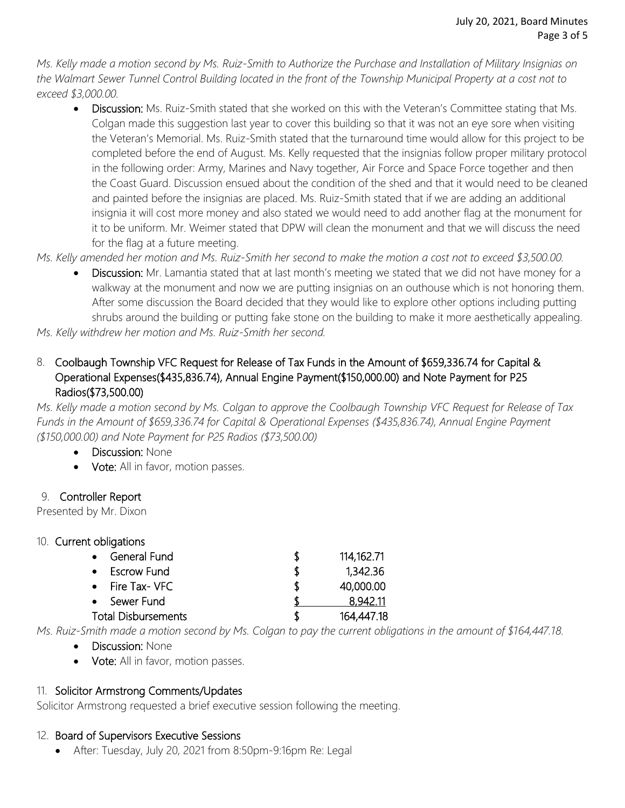*Ms. Kelly made a motion second by Ms. Ruiz-Smith to Authorize the Purchase and Installation of Military Insignias on the Walmart Sewer Tunnel Control Building located in the front of the Township Municipal Property at a cost not to exceed \$3,000.00.*

• Discussion: Ms. Ruiz-Smith stated that she worked on this with the Veteran's Committee stating that Ms. Colgan made this suggestion last year to cover this building so that it was not an eye sore when visiting the Veteran's Memorial. Ms. Ruiz-Smith stated that the turnaround time would allow for this project to be completed before the end of August. Ms. Kelly requested that the insignias follow proper military protocol in the following order: Army, Marines and Navy together, Air Force and Space Force together and then the Coast Guard. Discussion ensued about the condition of the shed and that it would need to be cleaned and painted before the insignias are placed. Ms. Ruiz-Smith stated that if we are adding an additional insignia it will cost more money and also stated we would need to add another flag at the monument for it to be uniform. Mr. Weimer stated that DPW will clean the monument and that we will discuss the need for the flag at a future meeting.

*Ms. Kelly amended her motion and Ms. Ruiz-Smith her second to make the motion a cost not to exceed \$3,500.00.* 

 Discussion: Mr. Lamantia stated that at last month's meeting we stated that we did not have money for a walkway at the monument and now we are putting insignias on an outhouse which is not honoring them. After some discussion the Board decided that they would like to explore other options including putting shrubs around the building or putting fake stone on the building to make it more aesthetically appealing.

*Ms. Kelly withdrew her motion and Ms. Ruiz-Smith her second.* 

8. Coolbaugh Township VFC Request for Release of Tax Funds in the Amount of \$659,336.74 for Capital & Operational Expenses(\$435,836.74), Annual Engine Payment(\$150,000.00) and Note Payment for P25 Radios(\$73,500.00)

*Ms. Kelly made a motion second by Ms. Colgan to approve the Coolbaugh Township VFC Request for Release of Tax Funds in the Amount of \$659,336.74 for Capital & Operational Expenses (\$435,836.74), Annual Engine Payment (\$150,000.00) and Note Payment for P25 Radios (\$73,500.00)*

- Discussion: None
- Vote: All in favor, motion passes.

### 9. Controller Report

Presented by Mr. Dixon

### 10. Current obligations

| General Fund               |   | 114, 162. 71 |
|----------------------------|---|--------------|
| <b>Escrow Fund</b>         | S | 1,342.36     |
| Fire Tax- VFC<br>$\bullet$ | S | 40,000.00    |
| Sewer Fund                 |   | 8.942.11     |
| <b>Total Disbursements</b> | Я | 164,447.18   |

*Ms. Ruiz-Smith made a motion second by Ms. Colgan to pay the current obligations in the amount of \$164,447.18.*

- Discussion: None
- Vote: All in favor, motion passes.

### 11. Solicitor Armstrong Comments/Updates

Solicitor Armstrong requested a brief executive session following the meeting.

### 12. Board of Supervisors Executive Sessions

After: Tuesday, July 20, 2021 from 8:50pm-9:16pm Re: Legal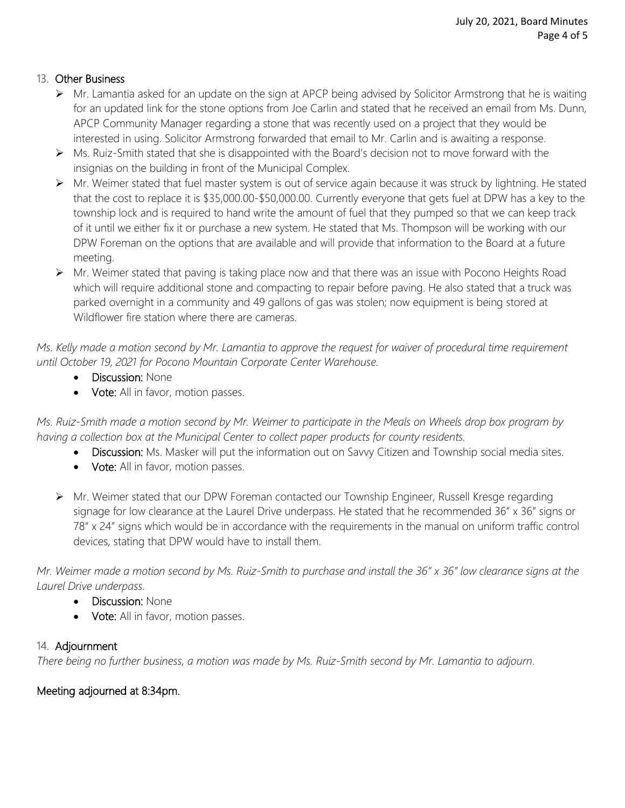# 13. Other Business

- $\triangleright$  Mr. Lamantia asked for an update on the sign at APCP being advised by Solicitor Armstrong that he is waiting for an updated link for the stone options from Joe Carlin and stated that he received an email from Ms. Dunn, APCP Community Manager regarding a stone that was recently used on a project that they would be interested in using. Solicitor Armstrong forwarded that email to Mr. Carlin and is awaiting a response.
- $\triangleright$  Ms. Ruiz-Smith stated that she is disappointed with the Board's decision not to move forward with the insignias on the building in front of the Municipal Complex.
- ▶ Mr. Weimer stated that fuel master system is out of service again because it was struck by lightning. He stated that the cost to replace it is \$35,000.00-\$50,000.00. Currently everyone that gets fuel at DPW has a key to the township lock and is required to hand write the amount of fuel that they pumped so that we can keep track of it until we either fix it or purchase a new system. He stated that Ms. Thompson will be working with our DPW Foreman on the options that are available and will provide that information to the Board at a future meeting.
- Mr. Weimer stated that paving is taking place now and that there was an issue with Pocono Heights Road which will require additional stone and compacting to repair before paving. He also stated that a truck was parked overnight in a community and 49 gallons of gas was stolen; now equipment is being stored at Wildflower fire station where there are cameras.

*Ms. Kelly made a motion second by Mr. Lamantia to approve the request for waiver of procedural time requirement until October 19, 2021 for Pocono Mountain Corporate Center Warehouse.* 

- Discussion: None
- Vote: All in favor, motion passes.

*Ms. Ruiz-Smith made a motion second by Mr. Weimer to participate in the Meals on Wheels drop box program by having a collection box at the Municipal Center to collect paper products for county residents.* 

- Discussion: Ms. Masker will put the information out on Savvy Citizen and Township social media sites.
- Vote: All in favor, motion passes.
- ▶ Mr. Weimer stated that our DPW Foreman contacted our Township Engineer, Russell Kresge regarding signage for low clearance at the Laurel Drive underpass. He stated that he recommended 36" x 36" signs or 78" x 24" signs which would be in accordance with the requirements in the manual on uniform traffic control devices, stating that DPW would have to install them.

*Mr. Weimer made a motion second by Ms. Ruiz-Smith to purchase and install the 36" x 36" low clearance signs at the Laurel Drive underpass.* 

- Discussion: None
- Vote: All in favor, motion passes.

### 14. Adjournment

*There being no further business, a motion was made by Ms. Ruiz-Smith second by Mr. Lamantia to adjourn*.

### Meeting adjourned at 8:34pm.